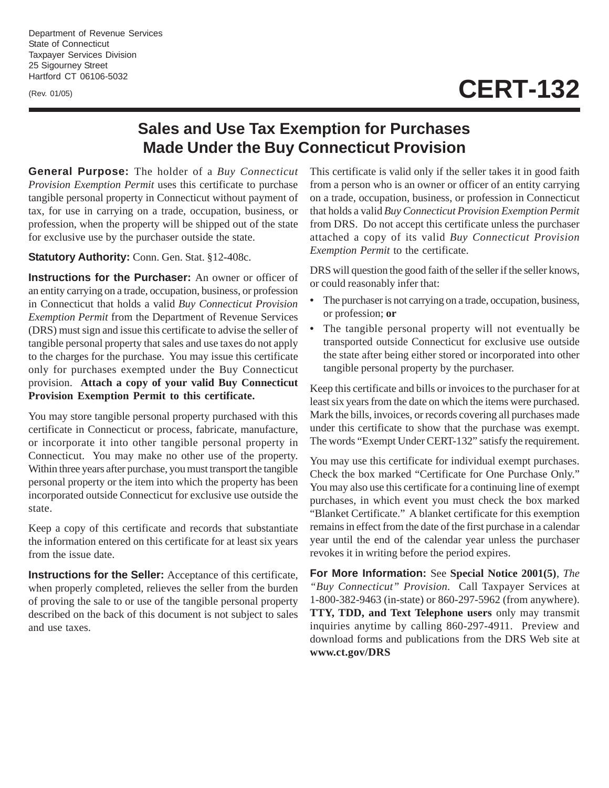Department of Revenue Services State of Connecticut Taxpayer Services Division 25 Sigourney Street Hartford CT 06106-5032

(Rev. 01/05)

## **CERT-132**

## **Sales and Use Tax Exemption for Purchases Made Under the Buy Connecticut Provision**

**General Purpose:** The holder of a *Buy Connecticut Provision Exemption Permit* uses this certificate to purchase tangible personal property in Connecticut without payment of tax, for use in carrying on a trade, occupation, business, or profession, when the property will be shipped out of the state for exclusive use by the purchaser outside the state.

## **Statutory Authority:** Conn. Gen. Stat. §12-408c.

**Instructions for the Purchaser:** An owner or officer of an entity carrying on a trade, occupation, business, or profession in Connecticut that holds a valid *Buy Connecticut Provision Exemption Permit* from the Department of Revenue Services (DRS) must sign and issue this certificate to advise the seller of tangible personal property that sales and use taxes do not apply to the charges for the purchase. You may issue this certificate only for purchases exempted under the Buy Connecticut provision. **Attach a copy of your valid Buy Connecticut Provision Exemption Permit to this certificate.**

You may store tangible personal property purchased with this certificate in Connecticut or process, fabricate, manufacture, or incorporate it into other tangible personal property in Connecticut. You may make no other use of the property. Within three years after purchase, you must transport the tangible personal property or the item into which the property has been incorporated outside Connecticut for exclusive use outside the state.

Keep a copy of this certificate and records that substantiate the information entered on this certificate for at least six years from the issue date.

**Instructions for the Seller:** Acceptance of this certificate, when properly completed, relieves the seller from the burden of proving the sale to or use of the tangible personal property described on the back of this document is not subject to sales and use taxes.

This certificate is valid only if the seller takes it in good faith from a person who is an owner or officer of an entity carrying on a trade, occupation, business, or profession in Connecticut that holds a valid *Buy Connecticut Provision Exemption Permit* from DRS. Do not accept this certificate unless the purchaser attached a copy of its valid *Buy Connecticut Provision Exemption Permit* to the certificate.

DRS will question the good faith of the seller if the seller knows, or could reasonably infer that:

- The purchaser is not carrying on a trade, occupation, business, or profession; **or**
- The tangible personal property will not eventually be transported outside Connecticut for exclusive use outside the state after being either stored or incorporated into other tangible personal property by the purchaser.

Keep this certificate and bills or invoices to the purchaser for at least six years from the date on which the items were purchased. Mark the bills, invoices, or records covering all purchases made under this certificate to show that the purchase was exempt. The words "Exempt Under CERT-132" satisfy the requirement.

You may use this certificate for individual exempt purchases. Check the box marked "Certificate for One Purchase Only." You may also use this certificate for a continuing line of exempt purchases, in which event you must check the box marked "Blanket Certificate." A blanket certificate for this exemption remains in effect from the date of the first purchase in a calendar year until the end of the calendar year unless the purchaser revokes it in writing before the period expires.

**For More Information:** See **Special Notice 2001(5)**, *The "Buy Connecticut" Provision.* Call Taxpayer Services at 1-800-382-9463 (in-state) or 860-297-5962 (from anywhere). **TTY, TDD, and Text Telephone users** only may transmit inquiries anytime by calling 860-297-4911. Preview and download forms and publications from the DRS Web site at **www.ct.gov/DRS**